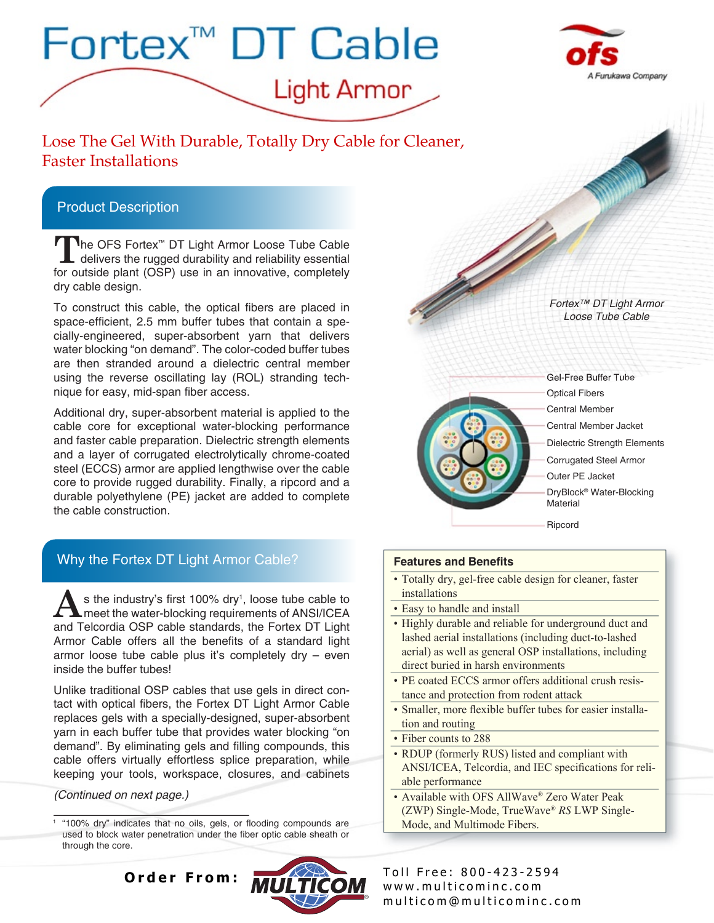



Lose The Gel With Durable, Totally Dry Cable for Cleaner, Faster Installations

## Product Description

**T**he OFS Fortex™ DT Light Armor Loose Tube Cable delivers the rugged durability and reliability essential for outside plant (OSP) use in an innovative, completely dry cable design.

To construct this cable, the optical fibers are placed in space-efficient, 2.5 mm buffer tubes that contain a specially-engineered, super-absorbent yarn that delivers water blocking "on demand". The color-coded buffer tubes are then stranded around a dielectric central member using the reverse oscillating lay (ROL) stranding technique for easy, mid-span fiber access.

Additional dry, super-absorbent material is applied to the cable core for exceptional water-blocking performance and faster cable preparation. Dielectric strength elements and a layer of corrugated electrolytically chrome-coated steel (ECCS) armor are applied lengthwise over the cable core to provide rugged durability. Finally, a ripcord and a durable polyethylene (PE) jacket are added to complete the cable construction.

*Fortex™ DT Light Armor Loose Tube Cable*



Optical Fibers Gel-Free Buffer Tube Dielectric Strength Elements Outer PE Jacket DryBlock® Water-Blocking Material Central Member Jacket Central Member Corrugated Steel Armor

Ripcord

## **Features and Benefits**

- Totally dry, gel-free cable design for cleaner, faster installations
- Easy to handle and install
- Highly durable and reliable for underground duct and lashed aerial installations (including duct-to-lashed aerial) as well as general OSP installations, including direct buried in harsh environments
- PE coated ECCS armor offers additional crush resistance and protection from rodent attack
- Smaller, more flexible buffer tubes for easier installation and routing
- Fiber counts to 288
- RDUP (formerly RUS) listed and compliant with ANSI/ICEA, Telcordia, and IEC specifications for reliable performance
- Available with OFS AllWave® Zero Water Peak (ZWP) Single-Mode, TrueWave® *RS* LWP Single-Mode, and Multimode Fibers.

www.multicominc.com m ultic o m @ m ultic o m in c . c o m Order From: **ALL FRANCE** Toll Free: 800-423-2594

Why the Fortex DT Light Armor Cable?

**A**s the industry's first 100% dry<sup>1</sup>, loose tube cable to meet the water-blocking requirements of ANSI/ICEA s the industry's first  $100\%$  dry<sup>1</sup>, loose tube cable to and Telcordia OSP cable standards, the Fortex DT Light Armor Cable offers all the benefits of a standard light armor loose tube cable plus it's completely dry – even inside the buffer tubes!

Unlike traditional OSP cables that use gels in direct contact with optical fibers, the Fortex DT Light Armor Cable replaces gels with a specially-designed, super-absorbent yarn in each buffer tube that provides water blocking "on demand". By eliminating gels and filling compounds, this cable offers virtually effortless splice preparation, while keeping your tools, workspace, closures, and cabinets

*(Continued on next page.)*

1 "100% dry" indicates that no oils, gels, or flooding compounds are used to block water penetration under the fiber optic cable sheath or through the core.